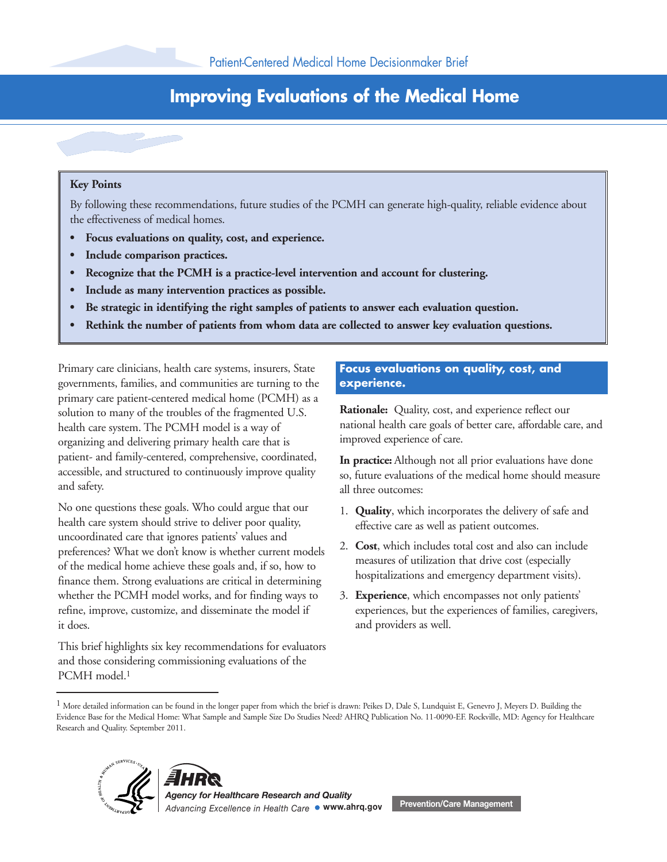# **Improving Evaluations of the Medical Home**

### **Key Points**

By following these recommendations, future studies of the PCMH can generate high-quality, reliable evidence about the effectiveness of medical homes.

- **Focus evaluations on quality, cost, and experience.**
- **Include comparison practices.**
- **Recognize that the PCMH is a practice-level intervention and account for clustering.**
- **Include as many intervention practices as possible.**
- **Be strategic in identifying the right samples of patients to answer each evaluation question.**
- **Rethink the number of patients from whom data are collected to answer key evaluation questions.**

Primary care clinicians, health care systems, insurers, State governments, families, and communities are turning to the primary care patient-centered medical home (PCMH) as a solution to many of the troubles of the fragmented U.S. health care system. The PCMH model is a way of organizing and delivering primary health care that is patient- and family-centered, comprehensive, coordinated, accessible, and structured to continuously improve quality and safety.

No one questions these goals. Who could argue that our health care system should strive to deliver poor quality, uncoordinated care that ignores patients' values and preferences? What we don't know is whether current models of the medical home achieve these goals and, if so, how to finance them. Strong evaluations are critical in determining whether the PCMH model works, and for finding ways to refine, improve, customize, and disseminate the model if it does.

This brief highlights six key recommendations for evaluators and those considering commissioning evaluations of the PCMH model.<sup>1</sup>

## **Focus evaluations on quality, cost, and experience.**

**Rationale:** Quality, cost, and experience reflect our national health care goals of better care, affordable care, and improved experience of care.

**In practice:** Although not all prior evaluations have done so, future evaluations of the medical home should measure all three outcomes:

- 1. **Quality**, which incorporates the delivery of safe and effective care as well as patient outcomes.
- 2. **Cost**, which includes total cost and also can include measures of utilization that drive cost (especially hospitalizations and emergency department visits).
- 3. **Experience**, which encompasses not only patients' experiences, but the experiences of families, caregivers, and providers as well.

<sup>&</sup>lt;sup>1</sup> More detailed information can be found in the longer paper from which the brief is drawn: Peikes D, Dale S, Lundquist E, Genevro J, Meyers D. Building the Evidence Base for the Medical Home: What Sample and Sample Size Do Studies Need? AHRQ Publication No. 11-0090-EF. Rockville, MD: Agency for Healthcare Research and Quality. September 2011.





*Agency for Healthcare Research and Quality Advancing Excellence in Health Care* **www.ahrq.gov Prevention/Care Management**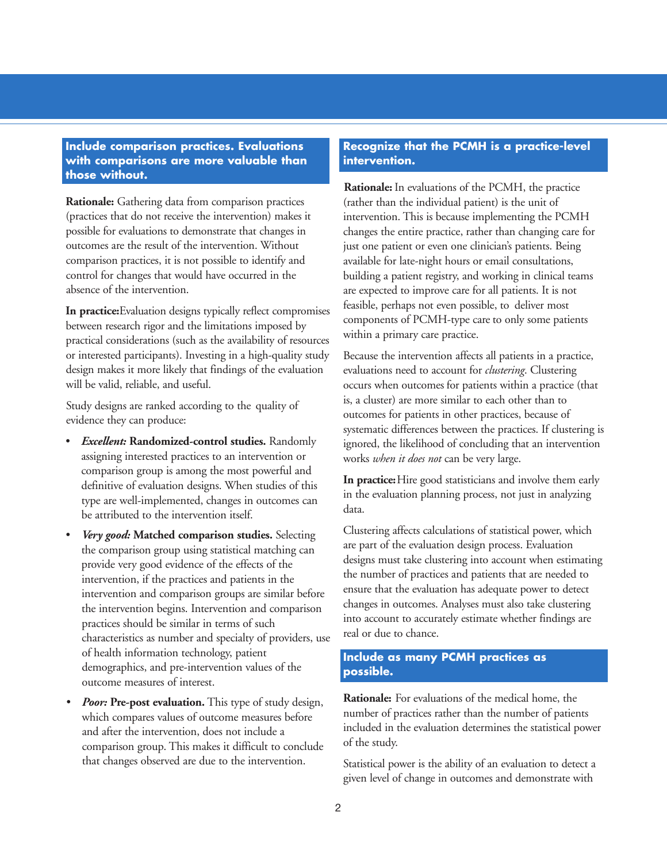#### **Include comparison practices. Evaluations with comparisons are more valuable than those without.**

**Rationale:** Gathering data from comparison practices (practices that do not receive the intervention) makes it possible for evaluations to demonstrate that changes in outcomes are the result of the intervention. Without comparison practices, it is not possible to identify and control for changes that would have occurred in the absence of the intervention.

**In practice:**Evaluation designs typically reflect compromises between research rigor and the limitations imposed by practical considerations (such as the availability of resources or interested participants). Investing in a high-quality study design makes it more likely that findings of the evaluation will be valid, reliable, and useful.

Study designs are ranked according to the quality of evidence they can produce:

- *Excellent:* **Randomized-control studies.** Randomly assigning interested practices to an intervention or comparison group is among the most powerful and definitive of evaluation designs. When studies of this type are well-implemented, changes in outcomes can be attributed to the intervention itself.
- *Very good:* **Matched comparison studies.** Selecting the comparison group using statistical matching can provide very good evidence of the effects of the intervention, if the practices and patients in the intervention and comparison groups are similar before the intervention begins. Intervention and comparison practices should be similar in terms of such characteristics as number and specialty of providers, use of health information technology, patient demographics, and pre-intervention values of the outcome measures of interest.
- *Poor:* **Pre-post evaluation.** This type of study design, which compares values of outcome measures before and after the intervention, does not include a comparison group. This makes it difficult to conclude that changes observed are due to the intervention.

## **Recognize that the PCMH is a practice-level intervention.**

**Rationale:** In evaluations of the PCMH, the practice (rather than the individual patient) is the unit of intervention. This is because implementing the PCMH changes the entire practice, rather than changing care for just one patient or even one clinician's patients. Being available for late-night hours or email consultations, building a patient registry, and working in clinical teams are expected to improve care for all patients. It is not feasible, perhaps not even possible, to deliver most components of PCMH-type care to only some patients within a primary care practice.

Because the intervention affects all patients in a practice, evaluations need to account for *clustering*. Clustering occurs when outcomes for patients within a practice (that is, a cluster) are more similar to each other than to outcomes for patients in other practices, because of systematic differences between the practices. If clustering is ignored, the likelihood of concluding that an intervention works *when it does not* can be very large.

**In practice:**Hire good statisticians and involve them early in the evaluation planning process, not just in analyzing data.

Clustering affects calculations of statistical power, which are part of the evaluation design process. Evaluation designs must take clustering into account when estimating the number of practices and patients that are needed to ensure that the evaluation has adequate power to detect changes in outcomes. Analyses must also take clustering into account to accurately estimate whether findings are real or due to chance.

## **Include as many PCMH practices as possible.**

**Rationale:** For evaluations of the medical home, the number of practices rather than the number of patients included in the evaluation determines the statistical power of the study.

Statistical power is the ability of an evaluation to detect a given level of change in outcomes and demonstrate with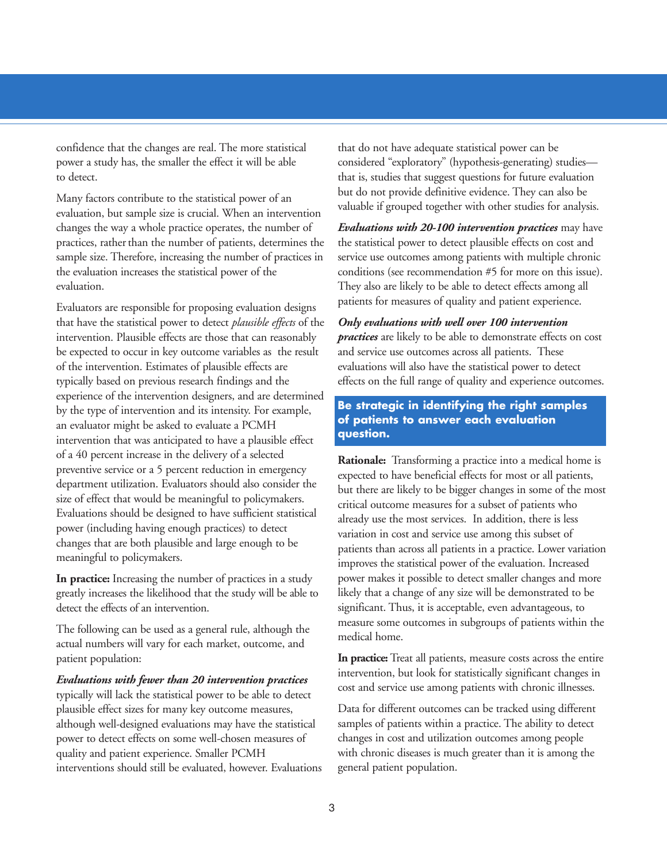confidence that the changes are real. The more statistical power a study has, the smaller the effect it will be able to detect.

Many factors contribute to the statistical power of an evaluation, but sample size is crucial. When an intervention changes the way a whole practice operates, the number of practices, rather than the number of patients, determines the sample size. Therefore, increasing the number of practices in the evaluation increases the statistical power of the evaluation.

Evaluators are responsible for proposing evaluation designs that have the statistical power to detect *plausible effects* of the intervention. Plausible effects are those that can reasonably be expected to occur in key outcome variables as the result of the intervention. Estimates of plausible effects are typically based on previous research findings and the experience of the intervention designers, and are determined by the type of intervention and its intensity. For example, an evaluator might be asked to evaluate a PCMH intervention that was anticipated to have a plausible effect of a 40 percent increase in the delivery of a selected preventive service or a 5 percent reduction in emergency department utilization. Evaluators should also consider the size of effect that would be meaningful to policymakers. Evaluations should be designed to have sufficient statistical power (including having enough practices) to detect changes that are both plausible and large enough to be meaningful to policymakers.

**In practice:** Increasing the number of practices in a study greatly increases the likelihood that the study will be able to detect the effects of an intervention.

The following can be used as a general rule, although the actual numbers will vary for each market, outcome, and patient population:

*Evaluations with fewer than 20 intervention practices* typically will lack the statistical power to be able to detect plausible effect sizes for many key outcome measures, although well-designed evaluations may have the statistical power to detect effects on some well-chosen measures of quality and patient experience. Smaller PCMH interventions should still be evaluated, however. Evaluations that do not have adequate statistical power can be considered "exploratory" (hypothesis-generating) studies that is, studies that suggest questions for future evaluation but do not provide definitive evidence. They can also be valuable if grouped together with other studies for analysis.

*Evaluations with 20-100 intervention practices* may have the statistical power to detect plausible effects on cost and service use outcomes among patients with multiple chronic conditions (see recommendation #5 for more on this issue). They also are likely to be able to detect effects among all patients for measures of quality and patient experience.

*Only evaluations with well over 100 intervention practices* are likely to be able to demonstrate effects on cost and service use outcomes across all patients. These evaluations will also have the statistical power to detect effects on the full range of quality and experience outcomes.

**Be strategic in identifying the right samples of patients to answer each evaluation question.**

**Rationale:** Transforming a practice into a medical home is expected to have beneficial effects for most or all patients, but there are likely to be bigger changes in some of the most critical outcome measures for a subset of patients who already use the most services. In addition, there is less variation in cost and service use among this subset of patients than across all patients in a practice. Lower variation improves the statistical power of the evaluation. Increased power makes it possible to detect smaller changes and more likely that a change of any size will be demonstrated to be significant. Thus, it is acceptable, even advantageous, to measure some outcomes in subgroups of patients within the medical home.

**In practice:** Treat all patients, measure costs across the entire intervention, but look for statistically significant changes in cost and service use among patients with chronic illnesses.

Data for different outcomes can be tracked using different samples of patients within a practice. The ability to detect changes in cost and utilization outcomes among people with chronic diseases is much greater than it is among the general patient population.